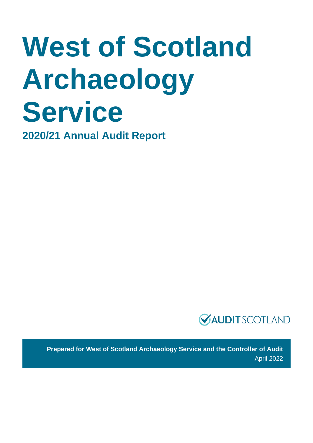# West of Scotland **Archaeology Service**

**2020/21 Annual Audit Report**



**Prepared for West of Scotland Archaeology Service and the Controller of Audit**  April 2022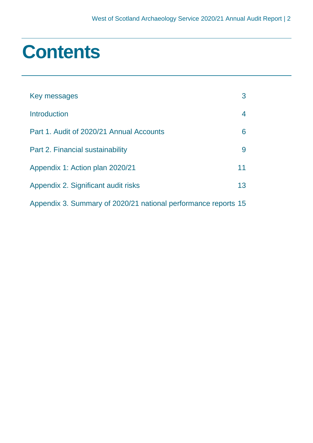### **Contents**

| Key messages                                                   | 3  |
|----------------------------------------------------------------|----|
| Introduction                                                   | 4  |
| Part 1. Audit of 2020/21 Annual Accounts                       | 6  |
| Part 2. Financial sustainability                               | 9  |
| Appendix 1: Action plan 2020/21                                | 11 |
| Appendix 2. Significant audit risks                            | 13 |
| Appendix 3. Summary of 2020/21 national performance reports 15 |    |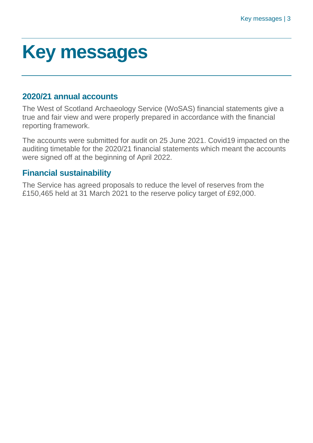### <span id="page-2-0"></span>**Key messages**

### **2020/21 annual accounts**

The West of Scotland Archaeology Service (WoSAS) financial statements give a true and fair view and were properly prepared in accordance with the financial reporting framework.

The accounts were submitted for audit on 25 June 2021. Covid19 impacted on the auditing timetable for the 2020/21 financial statements which meant the accounts were signed off at the beginning of April 2022.

### **Financial sustainability**

The Service has agreed proposals to reduce the level of reserves from the £150,465 held at 31 March 2021 to the reserve policy target of £92,000.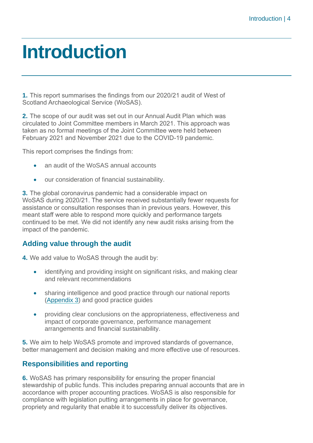### <span id="page-3-0"></span>**Introduction**

**1.** This report summarises the findings from our 2020/21 audit of West of Scotland Archaeological Service (WoSAS).

**2.** The scope of our audit was set out in our Annual Audit Plan which was circulated to Joint Committee members in March 2021. This approach was taken as no formal meetings of the Joint Committee were held between February 2021 and November 2021 due to the COVID-19 pandemic.

This report comprises the findings from:

- an audit of the WoSAS annual accounts
- our consideration of financial sustainability.

**3.** The global coronavirus pandemic had a considerable impact on WoSAS during 2020/21. The service received substantially fewer requests for assistance or consultation responses than in previous years. However, this meant staff were able to respond more quickly and performance targets continued to be met. We did not identify any new audit risks arising from the impact of the pandemic.

### **Adding value through the audit**

**4.** We add value to WoSAS through the audit by:

- identifying and providing insight on significant risks, and making clear and relevant recommendations
- sharing intelligence and good practice through our national reports [\(Appendix 3\)](#page-14-0) and good practice guides
- providing clear conclusions on the appropriateness, effectiveness and impact of corporate governance, performance management arrangements and financial sustainability.

**5.** We aim to help WoSAS promote and improved standards of governance, better management and decision making and more effective use of resources.

### **Responsibilities and reporting**

**6.** WoSAS has primary responsibility for ensuring the proper financial stewardship of public funds. This includes preparing annual accounts that are in accordance with proper accounting practices. WoSAS is also responsible for compliance with legislation putting arrangements in place for governance, propriety and regularity that enable it to successfully deliver its objectives.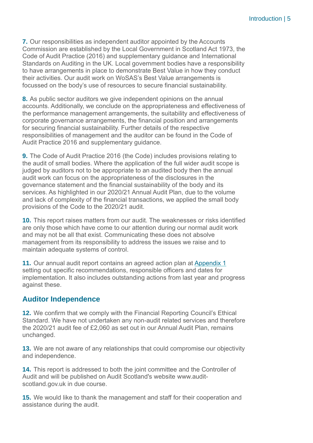**7.** Our responsibilities as independent auditor appointed by the Accounts Commission are established by the Local Government in Scotland Act 1973, the [Code of Audit Practice \(2016\)](http://www.audit-scotland.gov.uk/report/code-of-audit-practice-2016) and supplementary guidance and International Standards on Auditing in the UK. Local government bodies have a responsibility to have arrangements in place to demonstrate Best Value in how they conduct their activities. Our audit work on WoSAS's Best Value arrangements is focussed on the body's use of resources to secure financial sustainability.

**8.** As public sector auditors we give independent opinions on the annual accounts. Additionally, we conclude on the appropriateness and effectiveness of the performance management arrangements, the suitability and effectiveness of corporate governance arrangements, the financial position and arrangements for securing financial sustainability. Further details of the respective responsibilities of management and the auditor can be found in the Code of Audit Practice 2016 and supplementary guidance.

**9.** The [Code of Audit Practice 2016](http://www.audit-scotland.gov.uk/report/code-of-audit-practice-2016) (the Code) includes provisions relating to the audit of small bodies. Where the application of the full wider audit scope is judged by auditors not to be appropriate to an audited body then the annual audit work can focus on the appropriateness of the disclosures in the governance statement and the financial sustainability of the body and its services. As highlighted in our 2020/21 Annual Audit Plan, due to the volume and lack of complexity of the financial transactions, we applied the small body provisions of the Code to the 2020/21 audit.

**10.** This report raises matters from our audit. The weaknesses or risks identified are only those which have come to our attention during our normal audit work and may not be all that exist. Communicating these does not absolve management from its responsibility to address the issues we raise and to maintain adequate systems of control.

**11.** Our annual audit report contains an agreed action plan at [Appendix 1](#page-10-0) setting out specific recommendations, responsible officers and dates for implementation. It also includes outstanding actions from last year and progress against these.

### **Auditor Independence**

**12.** We confirm that we comply with the Financial Reporting Council's Ethical Standard. We have not undertaken any non-audit related services and therefore the 2020/21 audit fee of £2,060 as set out in our Annual Audit Plan, remains unchanged.

**13.** We are not aware of any relationships that could compromise our objectivity and independence.

**14.** This report is addressed to both the joint committee and the Controller of Audit and will be published on Audit Scotland's website [www.audit](http://www.audit-scotland.gov.uk/)[scotland.gov.uk](http://www.audit-scotland.gov.uk/) in due course.

**15.** We would like to thank the management and staff for their cooperation and assistance during the audit.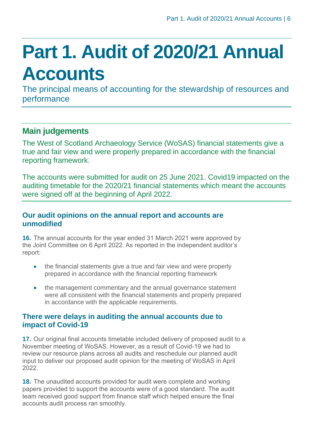## <span id="page-5-0"></span>**Part 1. Audit of 2020/21 Annual Accounts**

The principal means of accounting for the stewardship of resources and performance

### **Main judgements**

The West of Scotland Archaeology Service (WoSAS) financial statements give a true and fair view and were properly prepared in accordance with the financial reporting framework.

The accounts were submitted for audit on 25 June 2021. Covid19 impacted on the auditing timetable for the 2020/21 financial statements which meant the accounts were signed off at the beginning of April 2022.

### **Our audit opinions on the annual report and accounts are unmodified**

**16.** The annual accounts for the year ended 31 March 2021 were approved by the Joint Committee on 6 April 2022. As reported in the independent auditor's report:

- the financial statements give a true and fair view and were properly prepared in accordance with the financial reporting framework
- the management commentary and the annual governance statement were all consistent with the financial statements and properly prepared in accordance with the applicable requirements.

#### **There were delays in auditing the annual accounts due to impact of Covid-19**

**17.** Our original final accounts timetable included delivery of proposed audit to a November meeting of WoSAS. However, as a result of Covid-19 we had to review our resource plans across all audits and reschedule our planned audit input to deliver our proposed audit opinion for the meeting of WoSAS in April 2022.

**18.** The unaudited accounts provided for audit were complete and working papers provided to support the accounts were of a good standard. The audit team received good support from finance staff which helped ensure the final accounts audit process ran smoothly.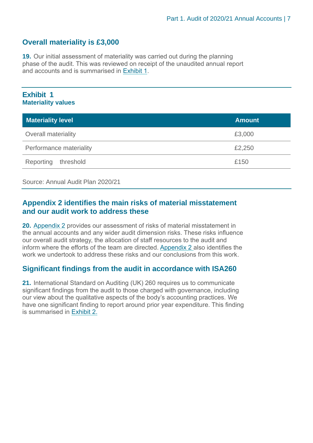### **Overall materiality is £3,000**

**19.** Our initial assessment of materiality was carried out during the planning phase of the audit. This was reviewed on receipt of the unaudited annual report and accounts and is summarised in [Exhibit](#page-6-0) 1.

#### <span id="page-6-0"></span>**Exhibit 1 Materiality values**

| <b>Materiality level</b>   | <b>Amount</b> |
|----------------------------|---------------|
| <b>Overall materiality</b> | £3,000        |
| Performance materiality    | £2,250        |
| Reporting<br>threshold     | £150          |

Source: Annual Audit Plan 2020/21

#### **[Appendix 2](#page-12-0) identifies the main risks of material misstatement and our audit work to address these**

**20.** [Appendix 2](#page-12-0) provides our assessment of risks of material misstatement in the annual accounts and any wider audit dimension risks. These risks influence our overall audit strategy, the allocation of staff resources to the audit and inform where the efforts of the team are directed. [Appendix 2](#page-12-0) also identifies the work we undertook to address these risks and our conclusions from this work.

### **Significant findings from the audit in accordance with ISA260**

**21.** International Standard on Auditing (UK) 260 requires us to communicate significant findings from the audit to those charged with governance, including our view about the qualitative aspects of the body's accounting practices. We have one significant finding to report around prior year expenditure. This finding is summarised in [Exhibit](#page-7-0) 2.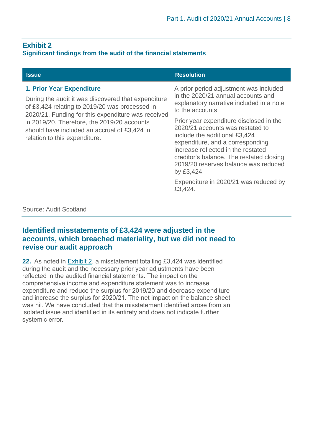### <span id="page-7-0"></span>**Exhibit 2**

#### **Significant findings from the audit of the financial statements**

| <b>Issue</b>                                                                                                                                                                                                                                                                                                                    | <b>Resolution</b>                                                                                                                                                                                                                             |
|---------------------------------------------------------------------------------------------------------------------------------------------------------------------------------------------------------------------------------------------------------------------------------------------------------------------------------|-----------------------------------------------------------------------------------------------------------------------------------------------------------------------------------------------------------------------------------------------|
| <b>1. Prior Year Expenditure</b><br>During the audit it was discovered that expenditure<br>of £3,424 relating to 2019/20 was processed in<br>2020/21. Funding for this expenditure was received<br>in 2019/20. Therefore, the 2019/20 accounts<br>should have included an accrual of £3,424 in<br>relation to this expenditure. | A prior period adjustment was included<br>in the 2020/21 annual accounts and<br>explanatory narrative included in a note<br>to the accounts.<br>Prior year expenditure disclosed in the                                                       |
|                                                                                                                                                                                                                                                                                                                                 | 2020/21 accounts was restated to<br>include the additional £3,424<br>expenditure, and a corresponding<br>increase reflected in the restated<br>creditor's balance. The restated closing<br>2019/20 reserves balance was reduced<br>by £3,424. |
|                                                                                                                                                                                                                                                                                                                                 | Expenditure in 2020/21 was reduced by<br>£3,424.                                                                                                                                                                                              |

Source: Audit Scotland

#### **Identified misstatements of £3,424 were adjusted in the accounts, which breached materiality, but we did not need to revise our audit approach**

**22.** As noted in Exhibit 2, a misstatement totalling £3,424 was identified during the audit and the necessary prior year adjustments have been reflected in the audited financial statements. The impact on the comprehensive income and expenditure statement was to increase expenditure and reduce the surplus for 2019/20 and decrease expenditure and increase the surplus for 2020/21. The net impact on the balance sheet was nil. We have concluded that the misstatement identified arose from an isolated issue and identified in its entirety and does not indicate further systemic error.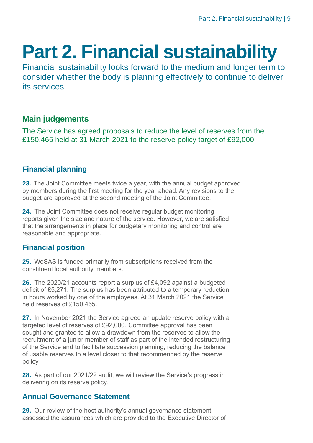### <span id="page-8-0"></span>**Part 2. Financial sustainability**

Financial sustainability looks forward to the medium and longer term to consider whether the body is planning effectively to continue to deliver its services

### **Main judgements**

The Service has agreed proposals to reduce the level of reserves from the £150,465 held at 31 March 2021 to the reserve policy target of £92,000.

### **Financial planning**

**23.** The Joint Committee meets twice a year, with the annual budget approved by members during the first meeting for the year ahead. Any revisions to the budget are approved at the second meeting of the Joint Committee.

**24.** The Joint Committee does not receive regular budget monitoring reports given the size and nature of the service. However, we are satisfied that the arrangements in place for budgetary monitoring and control are reasonable and appropriate.

### **Financial position**

**25.** WoSAS is funded primarily from subscriptions received from the constituent local authority members.

**26.** The 2020/21 accounts report a surplus of £4,092 against a budgeted deficit of £5,271. The surplus has been attributed to a temporary reduction in hours worked by one of the employees. At 31 March 2021 the Service held reserves of £150,465.

**27.** In November 2021 the Service agreed an update reserve policy with a targeted level of reserves of £92,000. Committee approval has been sought and granted to allow a drawdown from the reserves to allow the recruitment of a junior member of staff as part of the intended restructuring of the Service and to facilitate succession planning, reducing the balance of usable reserves to a level closer to that recommended by the reserve policy

**28.** As part of our 2021/22 audit, we will review the Service's progress in delivering on its reserve policy.

### **Annual Governance Statement**

**29.** Our review of the host authority's annual governance statement assessed the assurances which are provided to the Executive Director of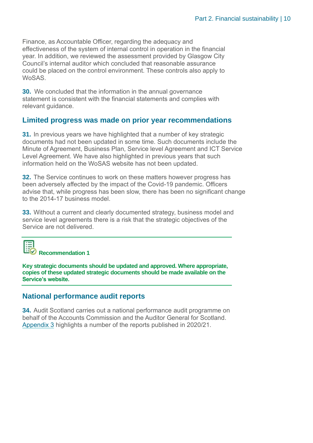Finance, as Accountable Officer, regarding the adequacy and effectiveness of the system of internal control in operation in the financial year. In addition, we reviewed the assessment provided by Glasgow City Council's internal auditor which concluded that reasonable assurance could be placed on the control environment. These controls also apply to WoSAS.

**30.** We concluded that the information in the annual governance statement is consistent with the financial statements and complies with relevant guidance.

#### **Limited progress was made on prior year recommendations**

**31.** In previous years we have highlighted that a number of key strategic documents had not been updated in some time. Such documents include the Minute of Agreement, Business Plan, Service level Agreement and ICT Service Level Agreement. We have also highlighted in previous years that such information held on the WoSAS website has not been updated.

**32.** The Service continues to work on these matters however progress has been adversely affected by the impact of the Covid-19 pandemic. Officers advise that, while progress has been slow, there has been no significant change to the 2014-17 business model.

<span id="page-9-0"></span>**33.** Without a current and clearly documented strategy, business model and service level agreements there is a risk that the strategic objectives of the Service are not delivered.



**Recommendation 1**

**Key strategic documents should be updated and approved. Where appropriate, copies of these updated strategic documents should be made available on the Service's website.** 

### **National performance audit reports**

**34.** Audit Scotland carries out a national performance audit programme on behalf of the Accounts Commission and the Auditor General for Scotland. [Appendix 3](#page-14-0) highlights a number of the reports published in 2020/21.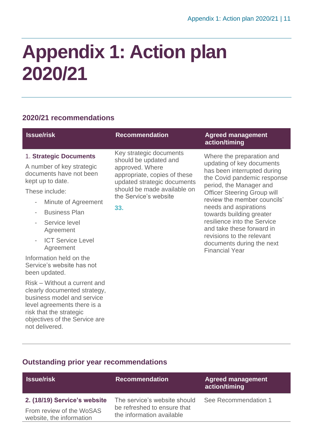### <span id="page-10-0"></span>**Appendix 1: Action plan 2020/21**

### **2020/21 recommendations**

| <b>Recommendation</b>                                                                                                                                                                             | <b>Agreed management</b><br>action/timing                                                                                                                                                                                                                                                                                                                                                                                |
|---------------------------------------------------------------------------------------------------------------------------------------------------------------------------------------------------|--------------------------------------------------------------------------------------------------------------------------------------------------------------------------------------------------------------------------------------------------------------------------------------------------------------------------------------------------------------------------------------------------------------------------|
|                                                                                                                                                                                                   |                                                                                                                                                                                                                                                                                                                                                                                                                          |
| Key strategic documents<br>should be updated and<br>approved. Where<br>appropriate, copies of these<br>updated strategic documents<br>should be made available on<br>the Service's website<br>33. | Where the preparation and<br>updating of key documents<br>has been interrupted during<br>the Covid pandemic response<br>period, the Manager and<br><b>Officer Steering Group will</b><br>review the member councils'<br>needs and aspirations<br>towards building greater<br>resilience into the Service<br>and take these forward in<br>revisions to the relevant<br>documents during the next<br><b>Financial Year</b> |
|                                                                                                                                                                                                   |                                                                                                                                                                                                                                                                                                                                                                                                                          |
|                                                                                                                                                                                                   |                                                                                                                                                                                                                                                                                                                                                                                                                          |

### **Outstanding prior year recommendations**

risk that the strategic

not delivered.

objectives of the Service are

| <b>Recommendation</b>        | <b>Agreed management</b><br>action/timing |
|------------------------------|-------------------------------------------|
| The service's website should | See Recommendation 1                      |
| the information available    |                                           |
|                              | be refreshed to ensure that               |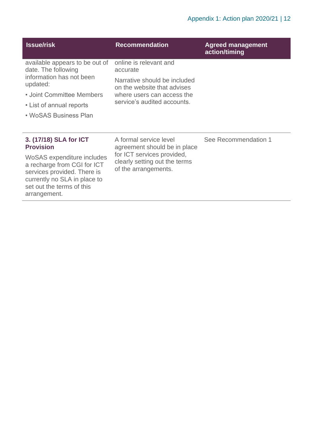| <b>Issue/risk</b>                                                                                                                                                                                                   | <b>Recommendation</b>                                                                                                                                          | <b>Agreed management</b><br>action/timing |
|---------------------------------------------------------------------------------------------------------------------------------------------------------------------------------------------------------------------|----------------------------------------------------------------------------------------------------------------------------------------------------------------|-------------------------------------------|
| available appears to be out of<br>date. The following<br>information has not been<br>updated:<br>• Joint Committee Members<br>• List of annual reports<br>• WoSAS Business Plan                                     | online is relevant and<br>accurate<br>Narrative should be included<br>on the website that advises<br>where users can access the<br>service's audited accounts. |                                           |
| 3. (17/18) SLA for ICT<br><b>Provision</b><br>WoSAS expenditure includes<br>a recharge from CGI for ICT<br>services provided. There is<br>currently no SLA in place to<br>set out the terms of this<br>arrangement. | A formal service level<br>agreement should be in place<br>for ICT services provided,<br>clearly setting out the terms<br>of the arrangements.                  | See Recommendation 1                      |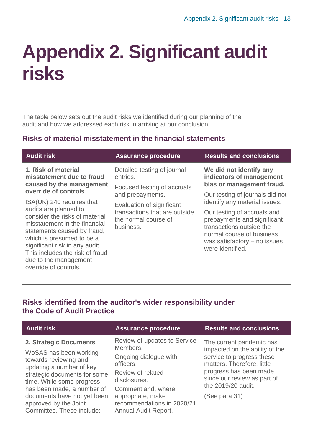### <span id="page-12-0"></span>**Appendix 2. Significant audit risks**

The table below sets out the audit risks we identified during our planning of the audit and how we addressed each risk in arriving at our conclusion.

### **Risks of material misstatement in the financial statements**

| <b>Audit risk</b>                                                                                                                                              | <b>Assurance procedure</b>                                                                      | <b>Results and conclusions</b>                               |
|----------------------------------------------------------------------------------------------------------------------------------------------------------------|-------------------------------------------------------------------------------------------------|--------------------------------------------------------------|
| 1. Risk of material<br>misstatement due to fraud                                                                                                               | Detailed testing of journal<br>entries.                                                         | We did not identify any<br>indicators of management          |
| caused by the management<br>override of controls                                                                                                               | Focused testing of accruals                                                                     | bias or management fraud.                                    |
|                                                                                                                                                                | and prepayments.                                                                                | Our testing of journals did not                              |
| ISA(UK) 240 requires that<br>audits are planned to<br>consider the risks of material                                                                           | Evaluation of significant<br>transactions that are outside<br>the normal course of<br>business. | identify any material issues.<br>Our testing of accruals and |
| misstatement in the financial<br>statements caused by fraud,<br>which is presumed to be a<br>significant risk in any audit.<br>This includes the risk of fraud |                                                                                                 |                                                              |
| due to the management<br>override of controls.                                                                                                                 |                                                                                                 |                                                              |
|                                                                                                                                                                |                                                                                                 |                                                              |

### **Risks identified from the auditor's wider responsibility under the Code of Audit Practice**

| <b>Audit risk</b>                                                                 | <b>Assurance procedure</b>                                              | <b>Results and conclusions</b>                             |
|-----------------------------------------------------------------------------------|-------------------------------------------------------------------------|------------------------------------------------------------|
| 2. Strategic Documents                                                            | Review of updates to Service<br>Members.                                | The current pandemic has<br>impacted on the ability of the |
| WoSAS has been working<br>towards reviewing and<br>updating a number of key       | Ongoing dialogue with<br>officers.                                      | service to progress these<br>matters. Therefore, little    |
| strategic documents for some<br>time. While some progress                         | Review of related<br>disclosures.                                       | progress has been made<br>since our review as part of      |
| has been made, a number of                                                        | Comment and, where                                                      | the 2019/20 audit.                                         |
| documents have not yet been<br>approved by the Joint<br>Committee. These include: | appropriate, make<br>recommendations in 2020/21<br>Annual Audit Report. | (See para 31)                                              |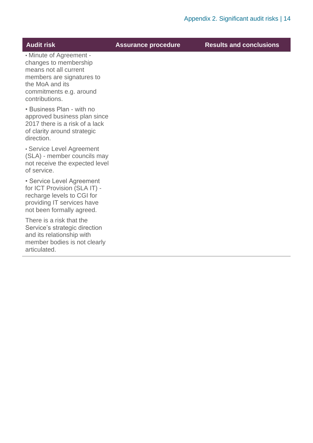**Audit risk Assurance procedure Results and conclusions**

• Minute of Agreement changes to membership means not all current members are signatures to the MoA and its commitments e.g. around contributions.

• Business Plan - with no approved business plan since 2017 there is a risk of a lack of clarity around strategic direction.

• Service Level Agreement (SLA) - member councils may not receive the expected level of service.

• Service Level Agreement for ICT Provision (SLA IT) recharge levels to CGI for providing IT services have not been formally agreed.

There is a risk that the Service's strategic direction and its relationship with member bodies is not clearly articulated.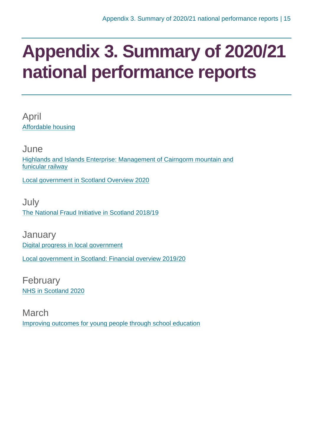### <span id="page-14-0"></span>**Appendix 3. Summary of 2020/21 national performance reports**

April [Affordable housing](https://www.audit-scotland.gov.uk/report/affordable-housing)

June [Highlands and Islands Enterprise: Management of Cairngorm mountain and](https://www.audit-scotland.gov.uk/report/highlands-and-islands-enterprise-management-of-cairngorm-mountain-and-funicular-railway)  [funicular railway](https://www.audit-scotland.gov.uk/report/highlands-and-islands-enterprise-management-of-cairngorm-mountain-and-funicular-railway)

[Local government in Scotland Overview 2020](https://www.audit-scotland.gov.uk/report/local-government-in-scotland-overview-2020)

**July** [The National Fraud Initiative in Scotland 2018/19](https://www.audit-scotland.gov.uk/report/the-national-fraud-initiative-in-scotland-201819)

**January** [Digital progress in local government](https://www.audit-scotland.gov.uk/report/digital-progress-in-local-government) [Local government in Scotland: Financial overview 2019/20](https://www.audit-scotland.gov.uk/report/local-government-in-scotland-financial-overview-201920)

February [NHS in Scotland 2020](https://www.audit-scotland.gov.uk/report/nhs-in-scotland-2020)

March [Improving outcomes for young people through school education](https://www.audit-scotland.gov.uk/report/improving-outcomes-for-young-people-through-school-education)